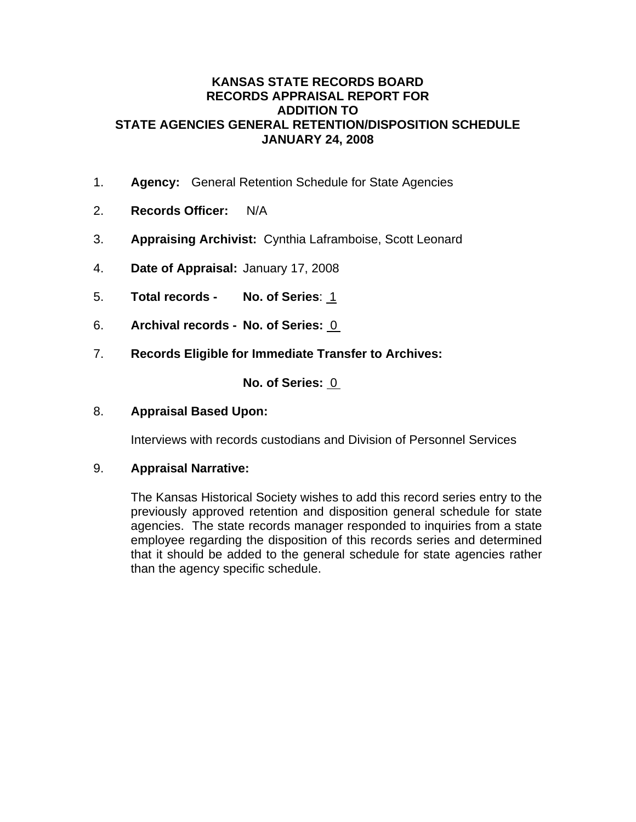### **KANSAS STATE RECORDS BOARD RECORDS APPRAISAL REPORT FOR ADDITION TO STATE AGENCIES GENERAL RETENTION/DISPOSITION SCHEDULE JANUARY 24, 2008**

- 1. **Agency:** General Retention Schedule for State Agencies
- 2. **Records Officer:** N/A
- 3. **Appraising Archivist:** Cynthia Laframboise, Scott Leonard
- 4. **Date of Appraisal:** January 17, 2008
- 5. **Total records No. of Series**: 1
- 6. **Archival records No. of Series:** 0
- 7. **Records Eligible for Immediate Transfer to Archives:**

**No. of Series:** 0

### 8. **Appraisal Based Upon:**

Interviews with records custodians and Division of Personnel Services

### 9. **Appraisal Narrative:**

The Kansas Historical Society wishes to add this record series entry to the previously approved retention and disposition general schedule for state agencies. The state records manager responded to inquiries from a state employee regarding the disposition of this records series and determined that it should be added to the general schedule for state agencies rather than the agency specific schedule.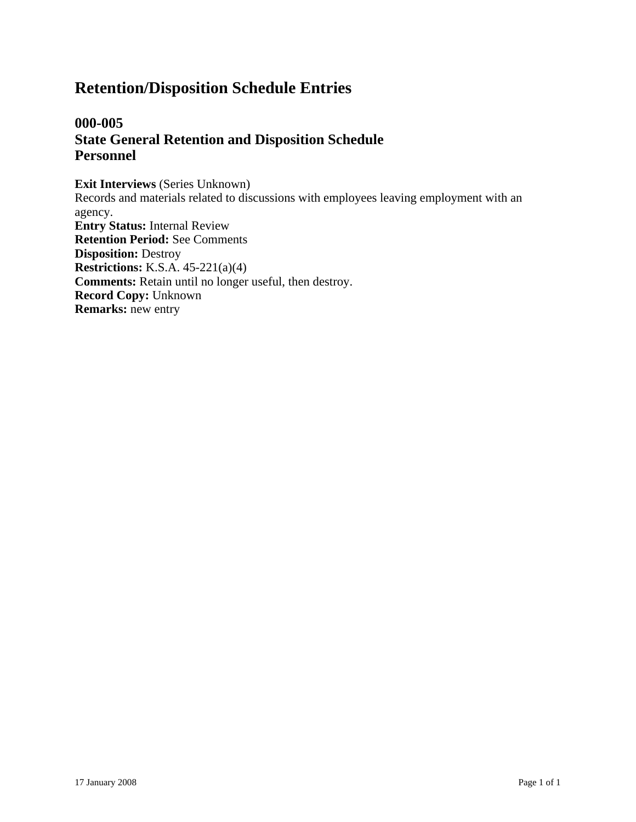# **000-005 State General Retention and Disposition Schedule Personnel**

**Exit Interviews** (Series Unknown) Records and materials related to discussions with employees leaving employment with an agency. **Entry Status:** Internal Review **Retention Period:** See Comments **Disposition:** Destroy **Restrictions:** K.S.A. 45-221(a)(4) **Comments:** Retain until no longer useful, then destroy. **Record Copy:** Unknown **Remarks:** new entry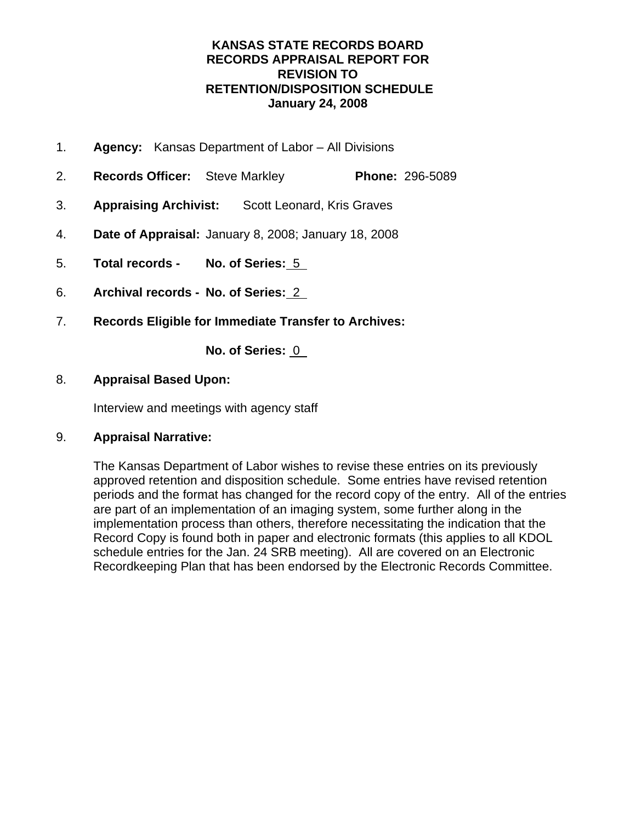# **KANSAS STATE RECORDS BOARD RECORDS APPRAISAL REPORT FOR REVISION TO RETENTION/DISPOSITION SCHEDULE January 24, 2008**

- 1. **Agency:** Kansas Department of Labor All Divisions
- 2. **Records Officer:** Steve Markley **Phone:** 296-5089
- 3. **Appraising Archivist:** Scott Leonard, Kris Graves
- 4. **Date of Appraisal:** January 8, 2008; January 18, 2008
- 5. **Total records No. of Series:** 5
- 6. **Archival records No. of Series:** 2
- 7. **Records Eligible for Immediate Transfer to Archives:**

**No. of Series:** 0

### 8. **Appraisal Based Upon:**

Interview and meetings with agency staff

### 9. **Appraisal Narrative:**

The Kansas Department of Labor wishes to revise these entries on its previously approved retention and disposition schedule. Some entries have revised retention periods and the format has changed for the record copy of the entry. All of the entries are part of an implementation of an imaging system, some further along in the implementation process than others, therefore necessitating the indication that the Record Copy is found both in paper and electronic formats (this applies to all KDOL schedule entries for the Jan. 24 SRB meeting). All are covered on an Electronic Recordkeeping Plan that has been endorsed by the Electronic Records Committee.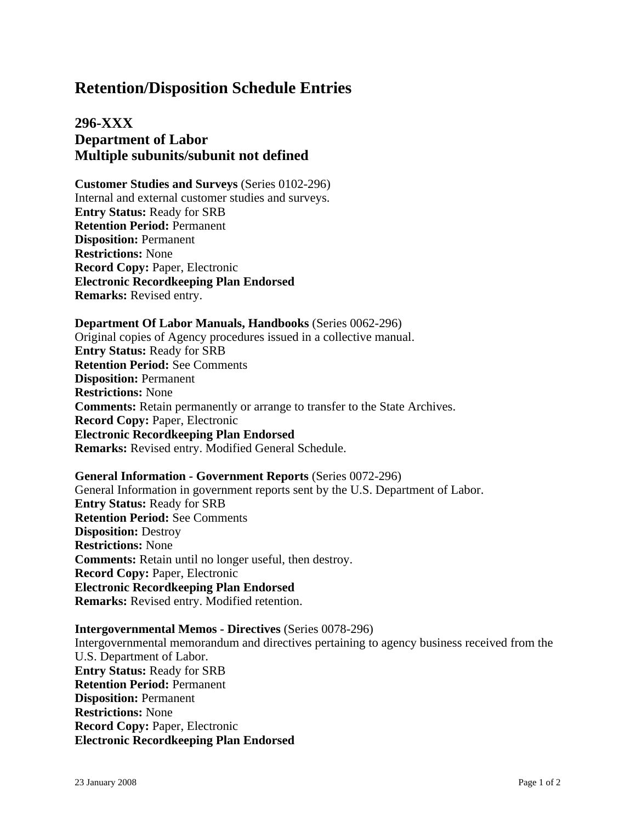# **296-XXX Department of Labor Multiple subunits/subunit not defined**

**Customer Studies and Surveys** (Series 0102-296) Internal and external customer studies and surveys. **Entry Status:** Ready for SRB **Retention Period:** Permanent **Disposition:** Permanent **Restrictions:** None **Record Copy:** Paper, Electronic **Electronic Recordkeeping Plan Endorsed Remarks:** Revised entry.

#### **Department Of Labor Manuals, Handbooks** (Series 0062-296)

Original copies of Agency procedures issued in a collective manual. **Entry Status:** Ready for SRB **Retention Period:** See Comments **Disposition:** Permanent **Restrictions:** None **Comments:** Retain permanently or arrange to transfer to the State Archives. **Record Copy:** Paper, Electronic **Electronic Recordkeeping Plan Endorsed Remarks:** Revised entry. Modified General Schedule.

#### **General Information - Government Reports** (Series 0072-296)

General Information in government reports sent by the U.S. Department of Labor. **Entry Status:** Ready for SRB **Retention Period:** See Comments **Disposition:** Destroy **Restrictions:** None **Comments:** Retain until no longer useful, then destroy. **Record Copy:** Paper, Electronic **Electronic Recordkeeping Plan Endorsed Remarks:** Revised entry. Modified retention.

# **Intergovernmental Memos - Directives** (Series 0078-296)

Intergovernmental memorandum and directives pertaining to agency business received from the U.S. Department of Labor. **Entry Status:** Ready for SRB **Retention Period:** Permanent **Disposition:** Permanent **Restrictions:** None **Record Copy:** Paper, Electronic **Electronic Recordkeeping Plan Endorsed**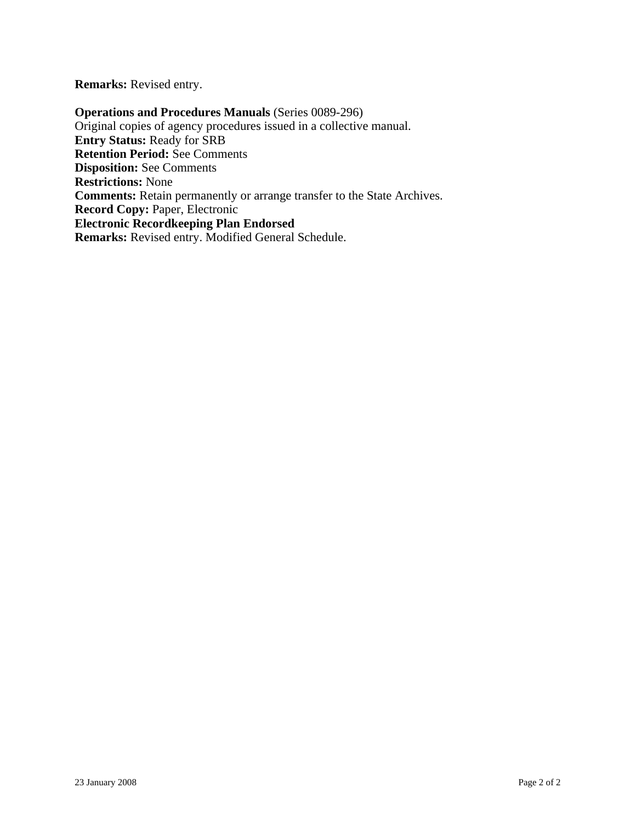**Remarks:** Revised entry.

**Operations and Procedures Manuals** (Series 0089-296) Original copies of agency procedures issued in a collective manual. **Entry Status:** Ready for SRB **Retention Period:** See Comments **Disposition:** See Comments **Restrictions:** None **Comments:** Retain permanently or arrange transfer to the State Archives. **Record Copy:** Paper, Electronic **Electronic Recordkeeping Plan Endorsed Remarks:** Revised entry. Modified General Schedule.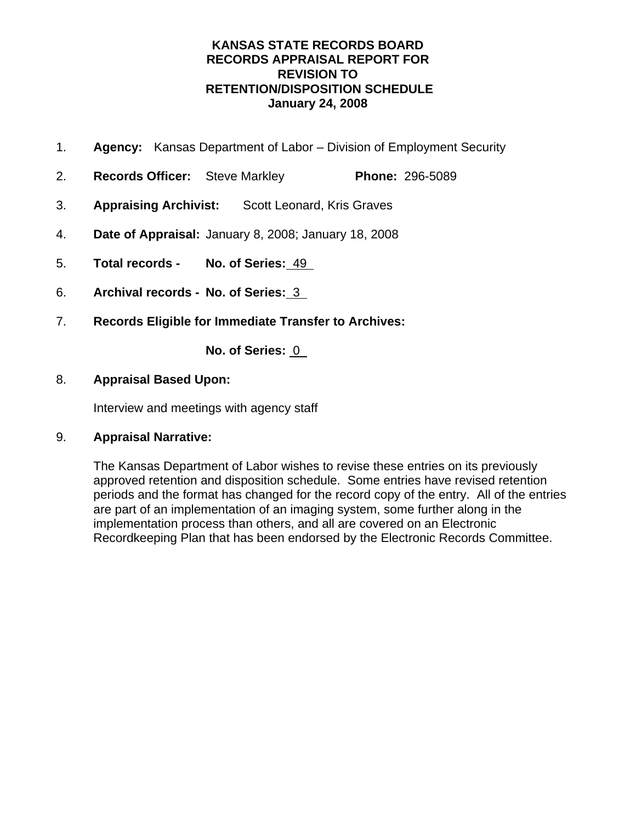# **KANSAS STATE RECORDS BOARD RECORDS APPRAISAL REPORT FOR REVISION TO RETENTION/DISPOSITION SCHEDULE January 24, 2008**

- 1. **Agency:** Kansas Department of Labor Division of Employment Security
- 2. **Records Officer:** Steve Markley **Phone:** 296-5089
- 3. **Appraising Archivist:** Scott Leonard, Kris Graves
- 4. **Date of Appraisal:** January 8, 2008; January 18, 2008
- 5. **Total records No. of Series:** 49
- 6. **Archival records No. of Series:** 3
- 7. **Records Eligible for Immediate Transfer to Archives:**

**No. of Series:** 0

### 8. **Appraisal Based Upon:**

Interview and meetings with agency staff

### 9. **Appraisal Narrative:**

The Kansas Department of Labor wishes to revise these entries on its previously approved retention and disposition schedule. Some entries have revised retention periods and the format has changed for the record copy of the entry. All of the entries are part of an implementation of an imaging system, some further along in the implementation process than others, and all are covered on an Electronic Recordkeeping Plan that has been endorsed by the Electronic Records Committee.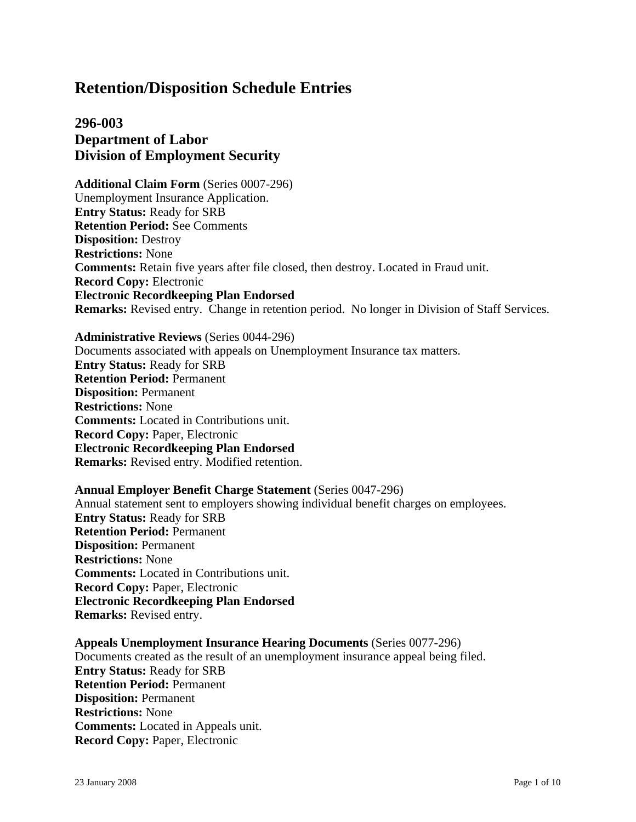# **296-003 Department of Labor Division of Employment Security**

**Additional Claim Form** (Series 0007-296) Unemployment Insurance Application. **Entry Status:** Ready for SRB **Retention Period:** See Comments **Disposition:** Destroy **Restrictions:** None **Comments:** Retain five years after file closed, then destroy. Located in Fraud unit. **Record Copy:** Electronic **Electronic Recordkeeping Plan Endorsed Remarks:** Revised entry. Change in retention period. No longer in Division of Staff Services.

#### **Administrative Reviews** (Series 0044-296)

Documents associated with appeals on Unemployment Insurance tax matters. **Entry Status:** Ready for SRB **Retention Period:** Permanent **Disposition:** Permanent **Restrictions:** None **Comments:** Located in Contributions unit. **Record Copy:** Paper, Electronic **Electronic Recordkeeping Plan Endorsed Remarks:** Revised entry. Modified retention.

### **Annual Employer Benefit Charge Statement** (Series 0047-296)

Annual statement sent to employers showing individual benefit charges on employees. **Entry Status:** Ready for SRB **Retention Period:** Permanent **Disposition:** Permanent **Restrictions:** None **Comments:** Located in Contributions unit. **Record Copy:** Paper, Electronic **Electronic Recordkeeping Plan Endorsed Remarks:** Revised entry.

**Appeals Unemployment Insurance Hearing Documents** (Series 0077-296) Documents created as the result of an unemployment insurance appeal being filed. **Entry Status:** Ready for SRB **Retention Period:** Permanent **Disposition:** Permanent **Restrictions:** None **Comments:** Located in Appeals unit. **Record Copy:** Paper, Electronic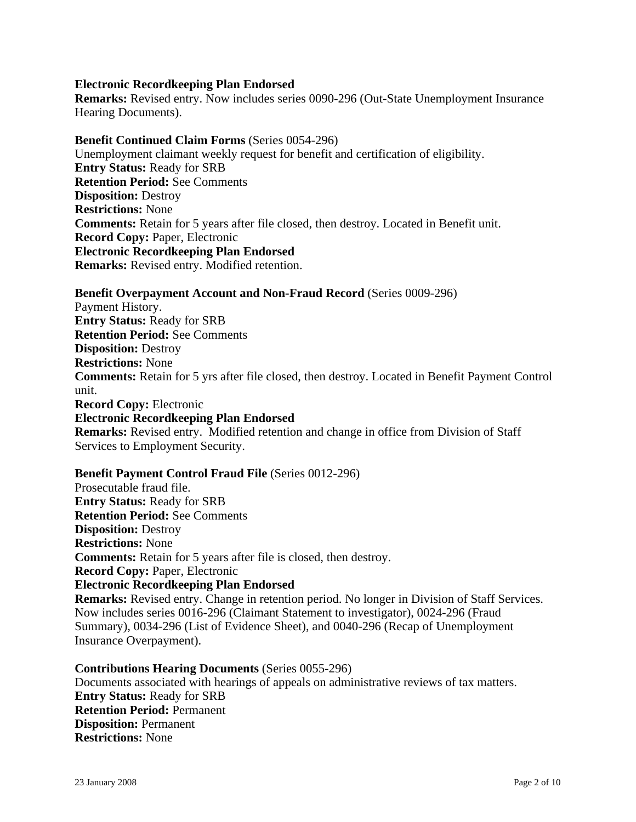### **Electronic Recordkeeping Plan Endorsed**

**Remarks:** Revised entry. Now includes series 0090-296 (Out-State Unemployment Insurance Hearing Documents).

#### **Benefit Continued Claim Forms** (Series 0054-296)

Unemployment claimant weekly request for benefit and certification of eligibility. **Entry Status:** Ready for SRB **Retention Period:** See Comments **Disposition:** Destroy **Restrictions:** None **Comments:** Retain for 5 years after file closed, then destroy. Located in Benefit unit. **Record Copy:** Paper, Electronic **Electronic Recordkeeping Plan Endorsed Remarks:** Revised entry. Modified retention.

**Benefit Overpayment Account and Non-Fraud Record** (Series 0009-296) Payment History. **Entry Status:** Ready for SRB **Retention Period:** See Comments **Disposition:** Destroy **Restrictions:** None **Comments:** Retain for 5 yrs after file closed, then destroy. Located in Benefit Payment Control unit. **Record Copy:** Electronic **Electronic Recordkeeping Plan Endorsed Remarks:** Revised entry. Modified retention and change in office from Division of Staff Services to Employment Security.

# **Benefit Payment Control Fraud File** (Series 0012-296)

Prosecutable fraud file. **Entry Status:** Ready for SRB **Retention Period:** See Comments **Disposition:** Destroy **Restrictions:** None **Comments:** Retain for 5 years after file is closed, then destroy. **Record Copy:** Paper, Electronic **Electronic Recordkeeping Plan Endorsed Remarks:** Revised entry. Change in retention period. No longer in Division of Staff Services. Now includes series 0016-296 (Claimant Statement to investigator), 0024-296 (Fraud Summary), 0034-296 (List of Evidence Sheet), and 0040-296 (Recap of Unemployment Insurance Overpayment).

**Contributions Hearing Documents** (Series 0055-296) Documents associated with hearings of appeals on administrative reviews of tax matters. **Entry Status:** Ready for SRB **Retention Period:** Permanent **Disposition:** Permanent **Restrictions:** None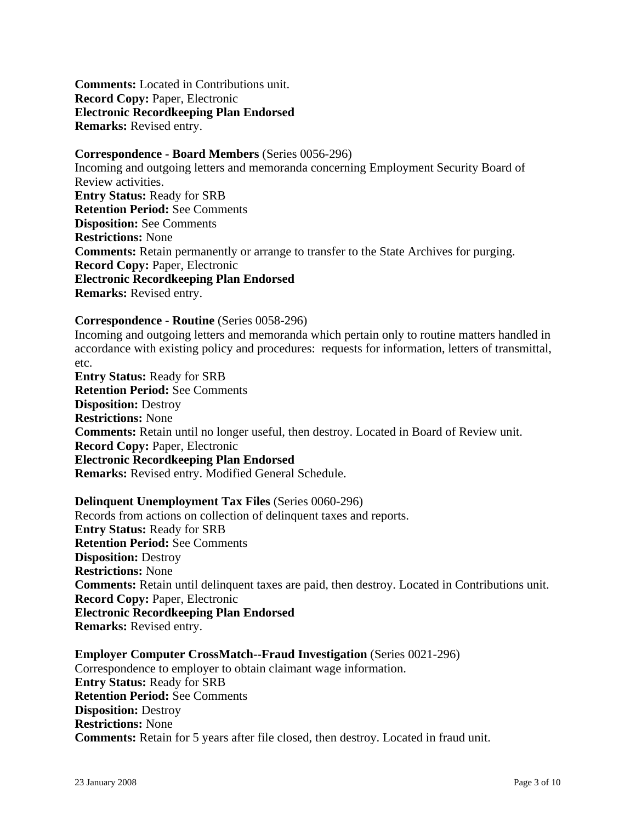**Comments:** Located in Contributions unit. **Record Copy:** Paper, Electronic **Electronic Recordkeeping Plan Endorsed Remarks:** Revised entry.

**Correspondence - Board Members** (Series 0056-296) Incoming and outgoing letters and memoranda concerning Employment Security Board of Review activities. **Entry Status:** Ready for SRB **Retention Period:** See Comments **Disposition:** See Comments **Restrictions:** None **Comments:** Retain permanently or arrange to transfer to the State Archives for purging. **Record Copy:** Paper, Electronic **Electronic Recordkeeping Plan Endorsed Remarks:** Revised entry.

### **Correspondence - Routine** (Series 0058-296)

Incoming and outgoing letters and memoranda which pertain only to routine matters handled in accordance with existing policy and procedures: requests for information, letters of transmittal, etc.

**Entry Status:** Ready for SRB **Retention Period:** See Comments **Disposition:** Destroy **Restrictions:** None **Comments:** Retain until no longer useful, then destroy. Located in Board of Review unit. **Record Copy:** Paper, Electronic **Electronic Recordkeeping Plan Endorsed Remarks:** Revised entry. Modified General Schedule.

**Delinquent Unemployment Tax Files** (Series 0060-296) Records from actions on collection of delinquent taxes and reports. **Entry Status:** Ready for SRB **Retention Period:** See Comments **Disposition:** Destroy **Restrictions:** None **Comments:** Retain until delinquent taxes are paid, then destroy. Located in Contributions unit. **Record Copy:** Paper, Electronic **Electronic Recordkeeping Plan Endorsed Remarks:** Revised entry.

### **Employer Computer CrossMatch--Fraud Investigation** (Series 0021-296) Correspondence to employer to obtain claimant wage information. **Entry Status:** Ready for SRB **Retention Period:** See Comments **Disposition:** Destroy **Restrictions:** None **Comments:** Retain for 5 years after file closed, then destroy. Located in fraud unit.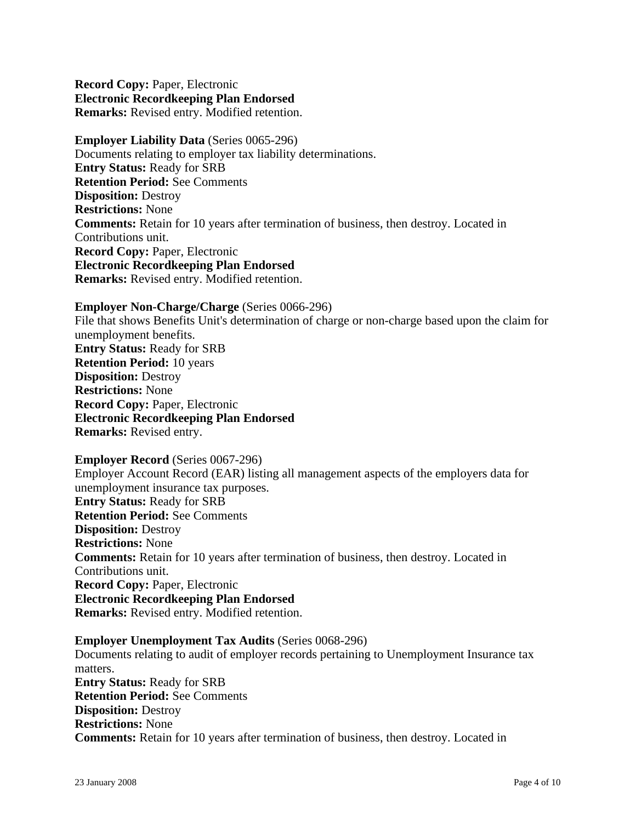**Record Copy:** Paper, Electronic **Electronic Recordkeeping Plan Endorsed Remarks:** Revised entry. Modified retention.

**Employer Liability Data** (Series 0065-296) Documents relating to employer tax liability determinations. **Entry Status:** Ready for SRB **Retention Period:** See Comments **Disposition:** Destroy **Restrictions:** None **Comments:** Retain for 10 years after termination of business, then destroy. Located in Contributions unit. **Record Copy:** Paper, Electronic **Electronic Recordkeeping Plan Endorsed Remarks:** Revised entry. Modified retention.

**Employer Non-Charge/Charge** (Series 0066-296) File that shows Benefits Unit's determination of charge or non-charge based upon the claim for unemployment benefits. **Entry Status:** Ready for SRB **Retention Period:** 10 years **Disposition:** Destroy **Restrictions:** None **Record Copy:** Paper, Electronic **Electronic Recordkeeping Plan Endorsed Remarks:** Revised entry.

**Employer Record** (Series 0067-296) Employer Account Record (EAR) listing all management aspects of the employers data for unemployment insurance tax purposes. **Entry Status:** Ready for SRB **Retention Period:** See Comments **Disposition:** Destroy **Restrictions:** None **Comments:** Retain for 10 years after termination of business, then destroy. Located in Contributions unit. **Record Copy:** Paper, Electronic **Electronic Recordkeeping Plan Endorsed Remarks:** Revised entry. Modified retention.

**Employer Unemployment Tax Audits** (Series 0068-296) Documents relating to audit of employer records pertaining to Unemployment Insurance tax matters. **Entry Status:** Ready for SRB **Retention Period:** See Comments **Disposition:** Destroy **Restrictions:** None **Comments:** Retain for 10 years after termination of business, then destroy. Located in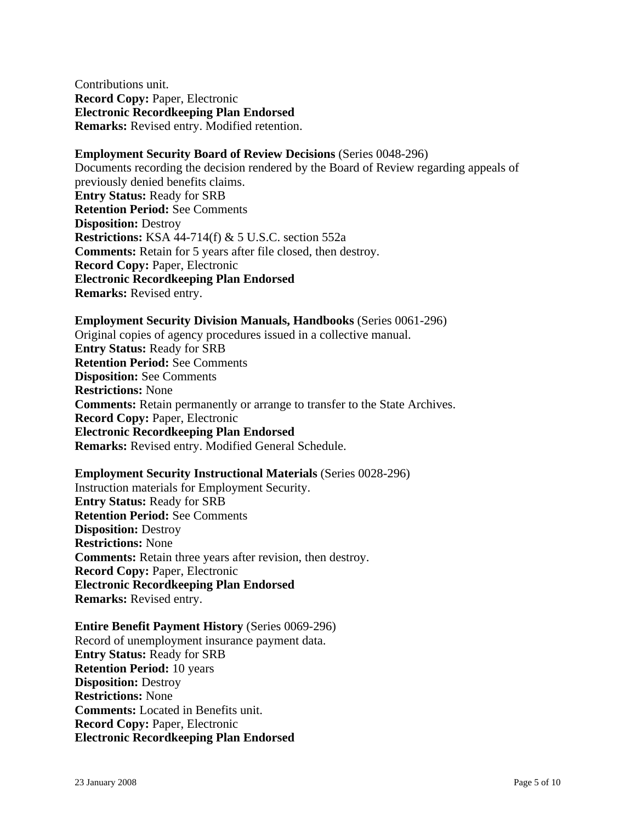Contributions unit. **Record Copy:** Paper, Electronic **Electronic Recordkeeping Plan Endorsed Remarks:** Revised entry. Modified retention.

#### **Employment Security Board of Review Decisions** (Series 0048-296)

Documents recording the decision rendered by the Board of Review regarding appeals of previously denied benefits claims. **Entry Status:** Ready for SRB **Retention Period:** See Comments **Disposition:** Destroy **Restrictions:** KSA 44-714(f) & 5 U.S.C. section 552a **Comments:** Retain for 5 years after file closed, then destroy. **Record Copy:** Paper, Electronic **Electronic Recordkeeping Plan Endorsed Remarks:** Revised entry.

#### **Employment Security Division Manuals, Handbooks** (Series 0061-296)

Original copies of agency procedures issued in a collective manual. **Entry Status:** Ready for SRB **Retention Period:** See Comments **Disposition:** See Comments **Restrictions:** None **Comments:** Retain permanently or arrange to transfer to the State Archives. **Record Copy:** Paper, Electronic **Electronic Recordkeeping Plan Endorsed Remarks:** Revised entry. Modified General Schedule.

#### **Employment Security Instructional Materials** (Series 0028-296)

Instruction materials for Employment Security. **Entry Status:** Ready for SRB **Retention Period:** See Comments **Disposition:** Destroy **Restrictions:** None **Comments:** Retain three years after revision, then destroy. **Record Copy:** Paper, Electronic **Electronic Recordkeeping Plan Endorsed Remarks:** Revised entry.

#### **Entire Benefit Payment History** (Series 0069-296)

Record of unemployment insurance payment data. **Entry Status:** Ready for SRB **Retention Period:** 10 years **Disposition:** Destroy **Restrictions:** None **Comments:** Located in Benefits unit. **Record Copy:** Paper, Electronic **Electronic Recordkeeping Plan Endorsed**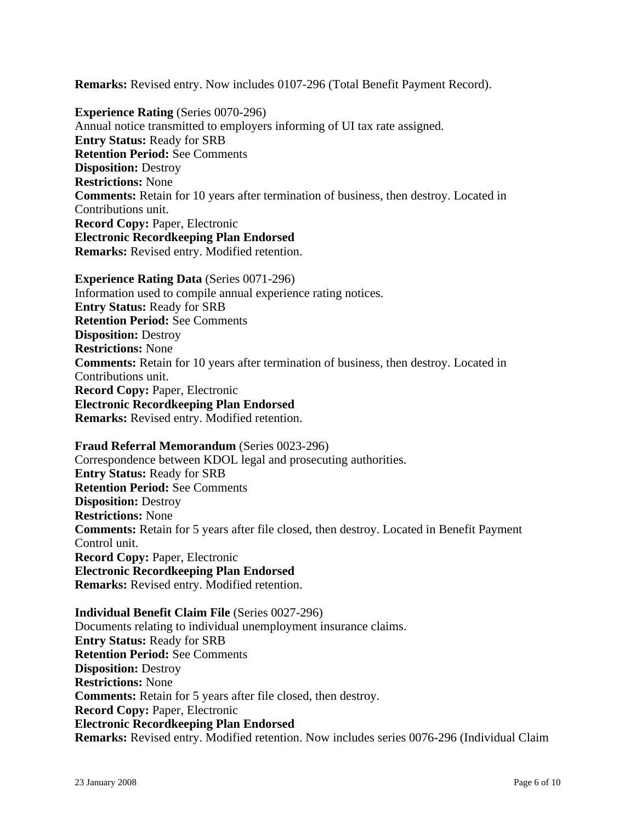**Remarks:** Revised entry. Now includes 0107-296 (Total Benefit Payment Record).

**Experience Rating** (Series 0070-296) Annual notice transmitted to employers informing of UI tax rate assigned. **Entry Status:** Ready for SRB **Retention Period:** See Comments **Disposition:** Destroy **Restrictions:** None **Comments:** Retain for 10 years after termination of business, then destroy. Located in Contributions unit. **Record Copy:** Paper, Electronic **Electronic Recordkeeping Plan Endorsed Remarks:** Revised entry. Modified retention.

**Experience Rating Data** (Series 0071-296) Information used to compile annual experience rating notices. **Entry Status:** Ready for SRB **Retention Period:** See Comments **Disposition:** Destroy **Restrictions:** None **Comments:** Retain for 10 years after termination of business, then destroy. Located in Contributions unit. **Record Copy:** Paper, Electronic **Electronic Recordkeeping Plan Endorsed Remarks:** Revised entry. Modified retention.

**Fraud Referral Memorandum** (Series 0023-296) Correspondence between KDOL legal and prosecuting authorities. **Entry Status:** Ready for SRB **Retention Period:** See Comments **Disposition:** Destroy **Restrictions:** None **Comments:** Retain for 5 years after file closed, then destroy. Located in Benefit Payment Control unit. **Record Copy:** Paper, Electronic **Electronic Recordkeeping Plan Endorsed Remarks:** Revised entry. Modified retention.

**Individual Benefit Claim File** (Series 0027-296) Documents relating to individual unemployment insurance claims. **Entry Status:** Ready for SRB **Retention Period:** See Comments **Disposition:** Destroy **Restrictions:** None **Comments:** Retain for 5 years after file closed, then destroy. **Record Copy:** Paper, Electronic **Electronic Recordkeeping Plan Endorsed Remarks:** Revised entry. Modified retention. Now includes series 0076-296 (Individual Claim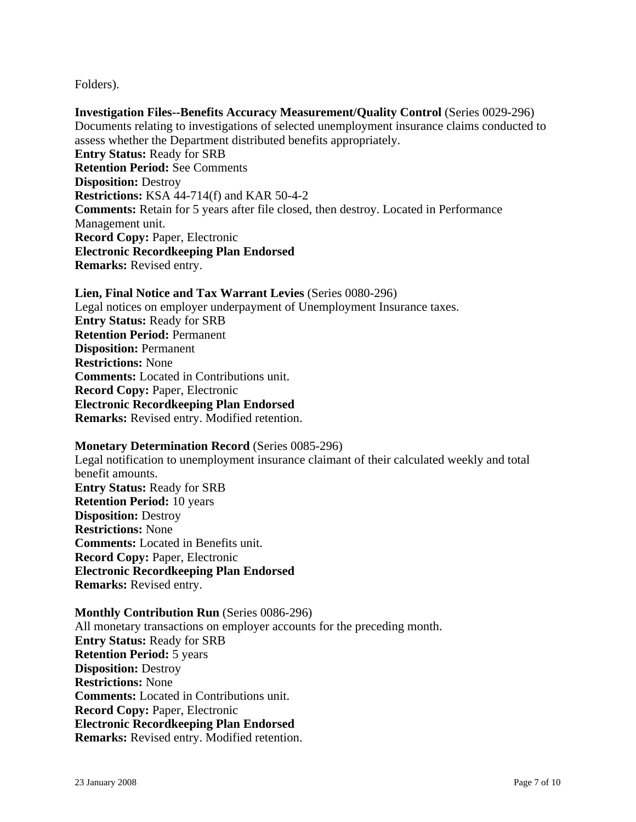Folders).

**Investigation Files--Benefits Accuracy Measurement/Quality Control** (Series 0029-296) Documents relating to investigations of selected unemployment insurance claims conducted to assess whether the Department distributed benefits appropriately. **Entry Status:** Ready for SRB **Retention Period:** See Comments **Disposition:** Destroy **Restrictions:** KSA 44-714(f) and KAR 50-4-2 **Comments:** Retain for 5 years after file closed, then destroy. Located in Performance Management unit. **Record Copy:** Paper, Electronic **Electronic Recordkeeping Plan Endorsed Remarks:** Revised entry.

**Lien, Final Notice and Tax Warrant Levies** (Series 0080-296) Legal notices on employer underpayment of Unemployment Insurance taxes. **Entry Status:** Ready for SRB **Retention Period:** Permanent **Disposition:** Permanent **Restrictions:** None **Comments:** Located in Contributions unit. **Record Copy:** Paper, Electronic **Electronic Recordkeeping Plan Endorsed Remarks:** Revised entry. Modified retention.

**Monetary Determination Record** (Series 0085-296) Legal notification to unemployment insurance claimant of their calculated weekly and total benefit amounts. **Entry Status:** Ready for SRB **Retention Period:** 10 years **Disposition:** Destroy **Restrictions:** None **Comments:** Located in Benefits unit. **Record Copy:** Paper, Electronic **Electronic Recordkeeping Plan Endorsed Remarks:** Revised entry.

**Monthly Contribution Run** (Series 0086-296) All monetary transactions on employer accounts for the preceding month. **Entry Status:** Ready for SRB **Retention Period:** 5 years **Disposition:** Destroy **Restrictions:** None **Comments:** Located in Contributions unit. **Record Copy:** Paper, Electronic **Electronic Recordkeeping Plan Endorsed Remarks:** Revised entry. Modified retention.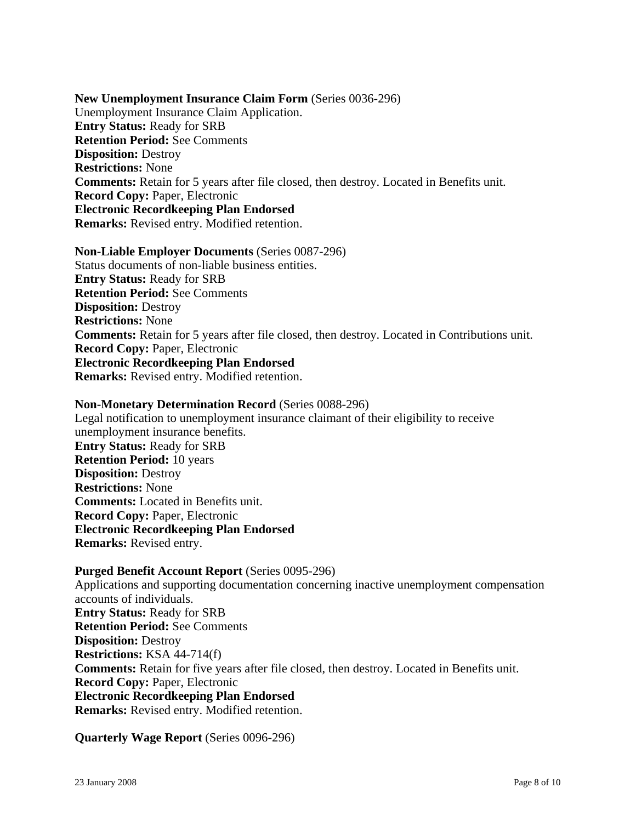**New Unemployment Insurance Claim Form** (Series 0036-296) Unemployment Insurance Claim Application. **Entry Status:** Ready for SRB **Retention Period:** See Comments **Disposition:** Destroy **Restrictions:** None **Comments:** Retain for 5 years after file closed, then destroy. Located in Benefits unit. **Record Copy:** Paper, Electronic **Electronic Recordkeeping Plan Endorsed Remarks:** Revised entry. Modified retention.

**Non-Liable Employer Documents** (Series 0087-296) Status documents of non-liable business entities. **Entry Status:** Ready for SRB **Retention Period:** See Comments **Disposition:** Destroy **Restrictions:** None **Comments:** Retain for 5 years after file closed, then destroy. Located in Contributions unit. **Record Copy:** Paper, Electronic **Electronic Recordkeeping Plan Endorsed Remarks:** Revised entry. Modified retention.

### **Non-Monetary Determination Record** (Series 0088-296)

Legal notification to unemployment insurance claimant of their eligibility to receive unemployment insurance benefits. **Entry Status:** Ready for SRB **Retention Period:** 10 years **Disposition:** Destroy **Restrictions:** None **Comments:** Located in Benefits unit. **Record Copy:** Paper, Electronic **Electronic Recordkeeping Plan Endorsed Remarks:** Revised entry.

**Purged Benefit Account Report** (Series 0095-296) Applications and supporting documentation concerning inactive unemployment compensation accounts of individuals. **Entry Status:** Ready for SRB **Retention Period:** See Comments **Disposition:** Destroy **Restrictions:** KSA 44-714(f) **Comments:** Retain for five years after file closed, then destroy. Located in Benefits unit. **Record Copy:** Paper, Electronic **Electronic Recordkeeping Plan Endorsed Remarks:** Revised entry. Modified retention.

**Quarterly Wage Report** (Series 0096-296)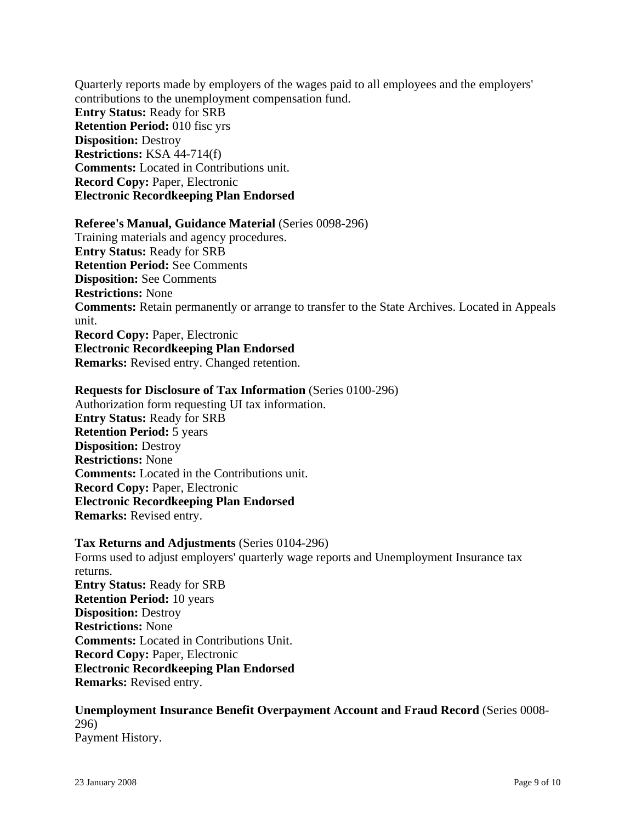Quarterly reports made by employers of the wages paid to all employees and the employers' contributions to the unemployment compensation fund. **Entry Status:** Ready for SRB **Retention Period:** 010 fisc yrs **Disposition:** Destroy **Restrictions:** KSA 44-714(f) **Comments:** Located in Contributions unit. **Record Copy:** Paper, Electronic **Electronic Recordkeeping Plan Endorsed**

#### **Referee's Manual, Guidance Material** (Series 0098-296)

Training materials and agency procedures. **Entry Status:** Ready for SRB **Retention Period:** See Comments **Disposition:** See Comments **Restrictions:** None **Comments:** Retain permanently or arrange to transfer to the State Archives. Located in Appeals unit. **Record Copy:** Paper, Electronic **Electronic Recordkeeping Plan Endorsed Remarks:** Revised entry. Changed retention.

#### **Requests for Disclosure of Tax Information** (Series 0100-296)

Authorization form requesting UI tax information. **Entry Status:** Ready for SRB **Retention Period:** 5 years **Disposition:** Destroy **Restrictions:** None **Comments:** Located in the Contributions unit. **Record Copy:** Paper, Electronic **Electronic Recordkeeping Plan Endorsed Remarks:** Revised entry.

**Tax Returns and Adjustments** (Series 0104-296) Forms used to adjust employers' quarterly wage reports and Unemployment Insurance tax returns. **Entry Status:** Ready for SRB **Retention Period:** 10 years **Disposition:** Destroy **Restrictions:** None **Comments:** Located in Contributions Unit. **Record Copy:** Paper, Electronic **Electronic Recordkeeping Plan Endorsed Remarks:** Revised entry.

### **Unemployment Insurance Benefit Overpayment Account and Fraud Record** (Series 0008- 296) Payment History.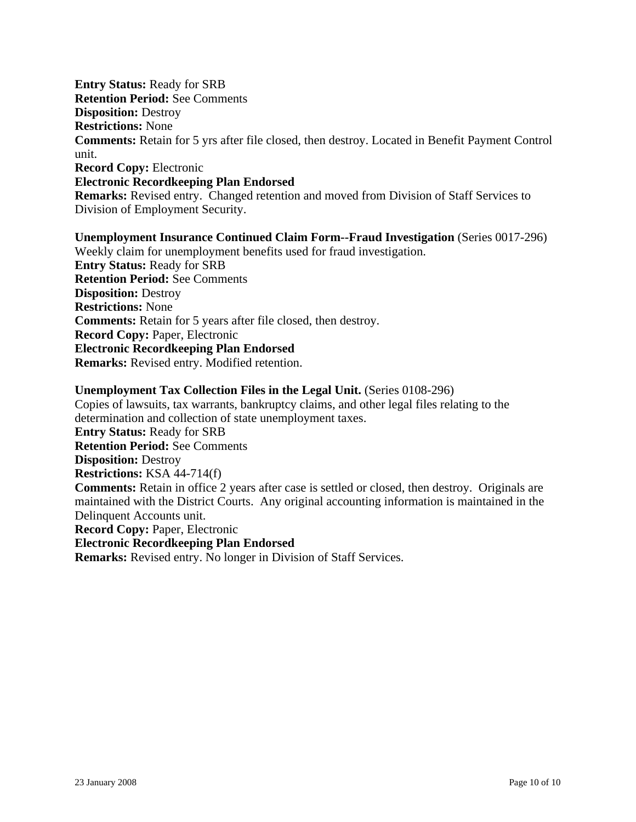**Entry Status:** Ready for SRB **Retention Period:** See Comments **Disposition:** Destroy **Restrictions:** None **Comments:** Retain for 5 yrs after file closed, then destroy. Located in Benefit Payment Control unit. **Record Copy:** Electronic **Electronic Recordkeeping Plan Endorsed**

**Remarks:** Revised entry. Changed retention and moved from Division of Staff Services to Division of Employment Security.

**Unemployment Insurance Continued Claim Form--Fraud Investigation** (Series 0017-296) Weekly claim for unemployment benefits used for fraud investigation. **Entry Status:** Ready for SRB **Retention Period:** See Comments **Disposition:** Destroy **Restrictions:** None **Comments:** Retain for 5 years after file closed, then destroy. **Record Copy:** Paper, Electronic **Electronic Recordkeeping Plan Endorsed Remarks:** Revised entry. Modified retention.

### **Unemployment Tax Collection Files in the Legal Unit.** (Series 0108-296)

Copies of lawsuits, tax warrants, bankruptcy claims, and other legal files relating to the determination and collection of state unemployment taxes. **Entry Status:** Ready for SRB **Retention Period:** See Comments **Disposition:** Destroy **Restrictions:** KSA 44-714(f) **Comments:** Retain in office 2 years after case is settled or closed, then destroy. Originals are maintained with the District Courts. Any original accounting information is maintained in the Delinquent Accounts unit. **Record Copy:** Paper, Electronic **Electronic Recordkeeping Plan Endorsed Remarks:** Revised entry. No longer in Division of Staff Services.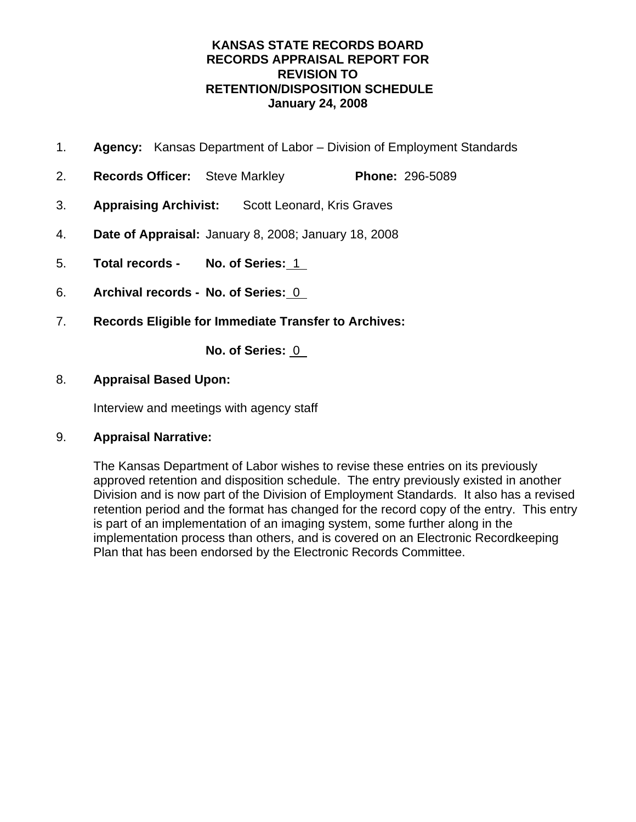# **KANSAS STATE RECORDS BOARD RECORDS APPRAISAL REPORT FOR REVISION TO RETENTION/DISPOSITION SCHEDULE January 24, 2008**

- 1. **Agency:** Kansas Department of Labor Division of Employment Standards
- 2. **Records Officer:** Steve Markley **Phone:** 296-5089
- 3. **Appraising Archivist:** Scott Leonard, Kris Graves
- 4. **Date of Appraisal:** January 8, 2008; January 18, 2008
- 5. **Total records No. of Series:** 1
- 6. **Archival records No. of Series:** 0
- 7. **Records Eligible for Immediate Transfer to Archives:**

**No. of Series:** 0

### 8. **Appraisal Based Upon:**

Interview and meetings with agency staff

### 9. **Appraisal Narrative:**

The Kansas Department of Labor wishes to revise these entries on its previously approved retention and disposition schedule. The entry previously existed in another Division and is now part of the Division of Employment Standards. It also has a revised retention period and the format has changed for the record copy of the entry. This entry is part of an implementation of an imaging system, some further along in the implementation process than others, and is covered on an Electronic Recordkeeping Plan that has been endorsed by the Electronic Records Committee.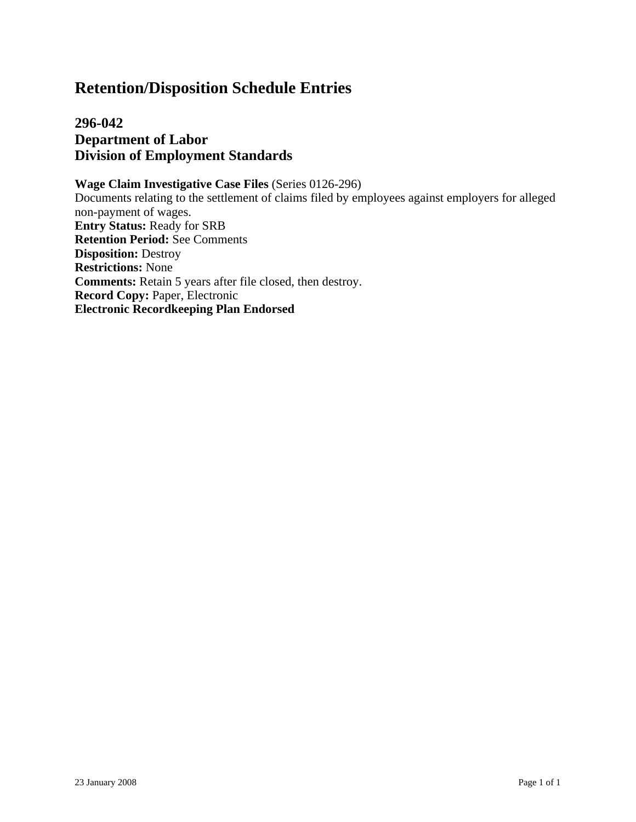**296-042 Department of Labor Division of Employment Standards**

**Wage Claim Investigative Case Files** (Series 0126-296) Documents relating to the settlement of claims filed by employees against employers for alleged non-payment of wages. **Entry Status:** Ready for SRB **Retention Period:** See Comments **Disposition:** Destroy **Restrictions:** None **Comments:** Retain 5 years after file closed, then destroy. **Record Copy:** Paper, Electronic **Electronic Recordkeeping Plan Endorsed**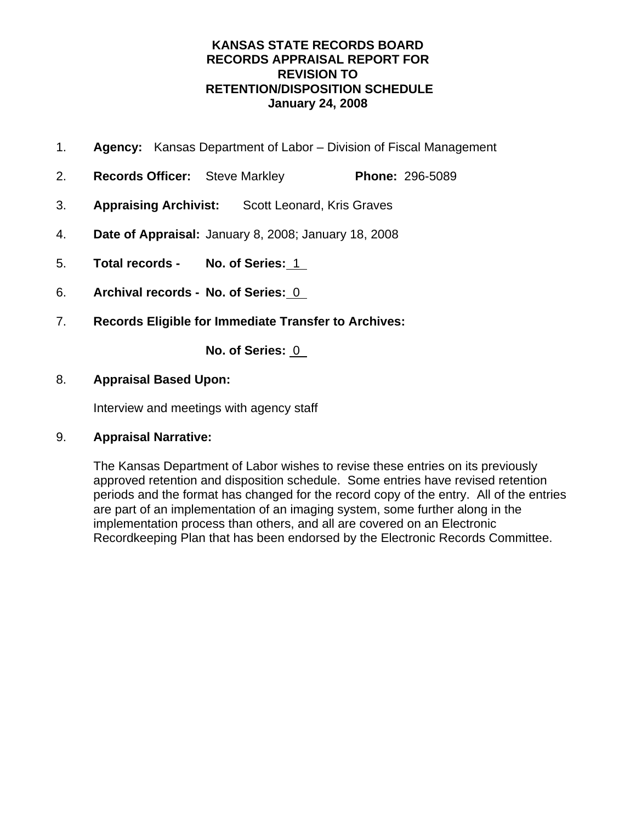# **KANSAS STATE RECORDS BOARD RECORDS APPRAISAL REPORT FOR REVISION TO RETENTION/DISPOSITION SCHEDULE January 24, 2008**

- 1. **Agency:** Kansas Department of Labor Division of Fiscal Management
- 2. **Records Officer:** Steve Markley **Phone:** 296-5089
- 3. **Appraising Archivist:** Scott Leonard, Kris Graves
- 4. **Date of Appraisal:** January 8, 2008; January 18, 2008
- 5. **Total records No. of Series:** 1
- 6. **Archival records No. of Series:** 0
- 7. **Records Eligible for Immediate Transfer to Archives:**

**No. of Series:** 0

### 8. **Appraisal Based Upon:**

Interview and meetings with agency staff

### 9. **Appraisal Narrative:**

The Kansas Department of Labor wishes to revise these entries on its previously approved retention and disposition schedule. Some entries have revised retention periods and the format has changed for the record copy of the entry. All of the entries are part of an implementation of an imaging system, some further along in the implementation process than others, and all are covered on an Electronic Recordkeeping Plan that has been endorsed by the Electronic Records Committee.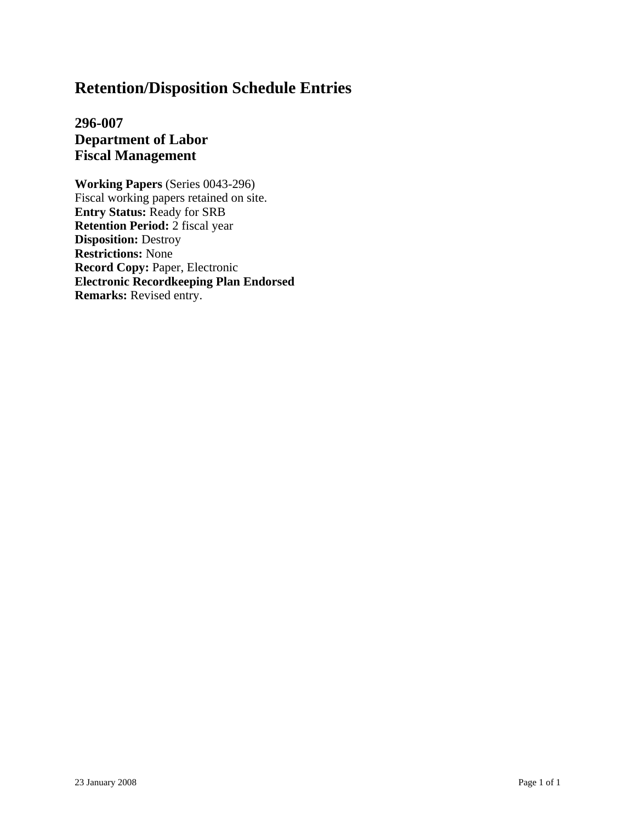**296-007 Department of Labor Fiscal Management**

**Working Papers** (Series 0043-296) Fiscal working papers retained on site. **Entry Status:** Ready for SRB **Retention Period:** 2 fiscal year **Disposition:** Destroy **Restrictions:** None **Record Copy:** Paper, Electronic **Electronic Recordkeeping Plan Endorsed Remarks:** Revised entry.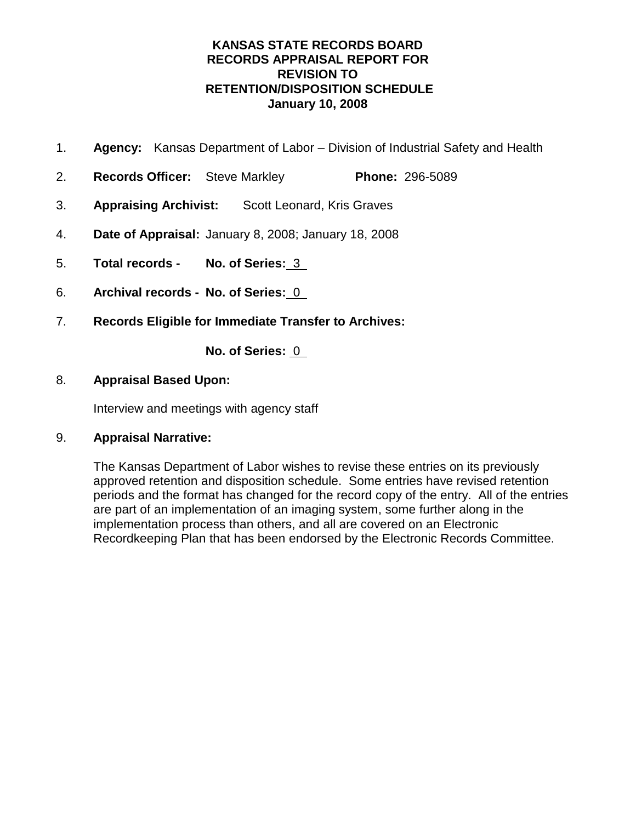# **KANSAS STATE RECORDS BOARD RECORDS APPRAISAL REPORT FOR REVISION TO RETENTION/DISPOSITION SCHEDULE January 10, 2008**

- 1. **Agency:** Kansas Department of Labor Division of Industrial Safety and Health
- 2. **Records Officer:** Steve Markley **Phone:** 296-5089
- 3. **Appraising Archivist:** Scott Leonard, Kris Graves
- 4. **Date of Appraisal:** January 8, 2008; January 18, 2008
- 5. **Total records No. of Series:** 3
- 6. **Archival records No. of Series:** 0
- 7. **Records Eligible for Immediate Transfer to Archives:**

**No. of Series:** 0

### 8. **Appraisal Based Upon:**

Interview and meetings with agency staff

### 9. **Appraisal Narrative:**

The Kansas Department of Labor wishes to revise these entries on its previously approved retention and disposition schedule. Some entries have revised retention periods and the format has changed for the record copy of the entry. All of the entries are part of an implementation of an imaging system, some further along in the implementation process than others, and all are covered on an Electronic Recordkeeping Plan that has been endorsed by the Electronic Records Committee.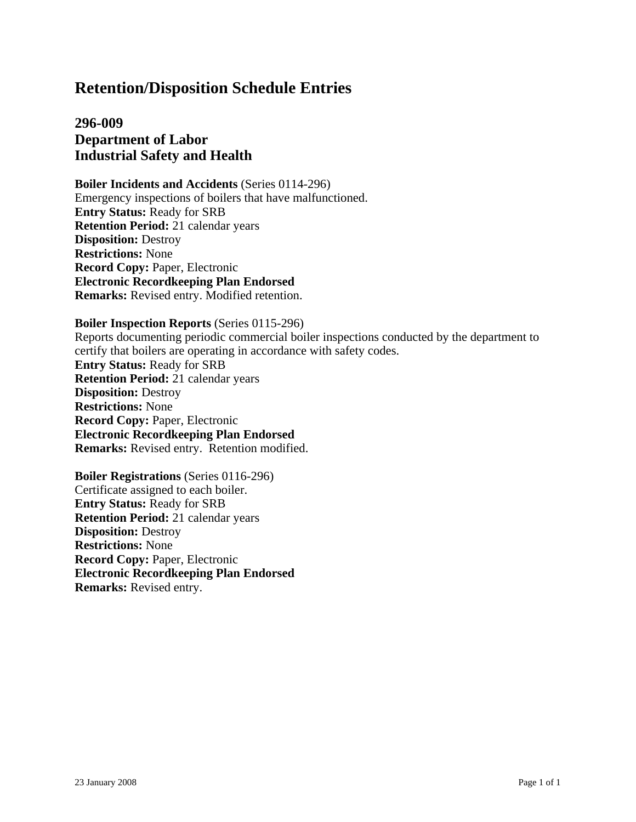# **296-009 Department of Labor Industrial Safety and Health**

**Boiler Incidents and Accidents** (Series 0114-296) Emergency inspections of boilers that have malfunctioned. **Entry Status:** Ready for SRB **Retention Period:** 21 calendar years **Disposition:** Destroy **Restrictions:** None **Record Copy:** Paper, Electronic **Electronic Recordkeeping Plan Endorsed Remarks:** Revised entry. Modified retention.

#### **Boiler Inspection Reports** (Series 0115-296)

Reports documenting periodic commercial boiler inspections conducted by the department to certify that boilers are operating in accordance with safety codes. **Entry Status:** Ready for SRB **Retention Period:** 21 calendar years **Disposition:** Destroy **Restrictions:** None **Record Copy:** Paper, Electronic **Electronic Recordkeeping Plan Endorsed Remarks:** Revised entry. Retention modified.

**Boiler Registrations** (Series 0116-296) Certificate assigned to each boiler. **Entry Status:** Ready for SRB **Retention Period:** 21 calendar years **Disposition:** Destroy **Restrictions:** None **Record Copy:** Paper, Electronic **Electronic Recordkeeping Plan Endorsed Remarks:** Revised entry.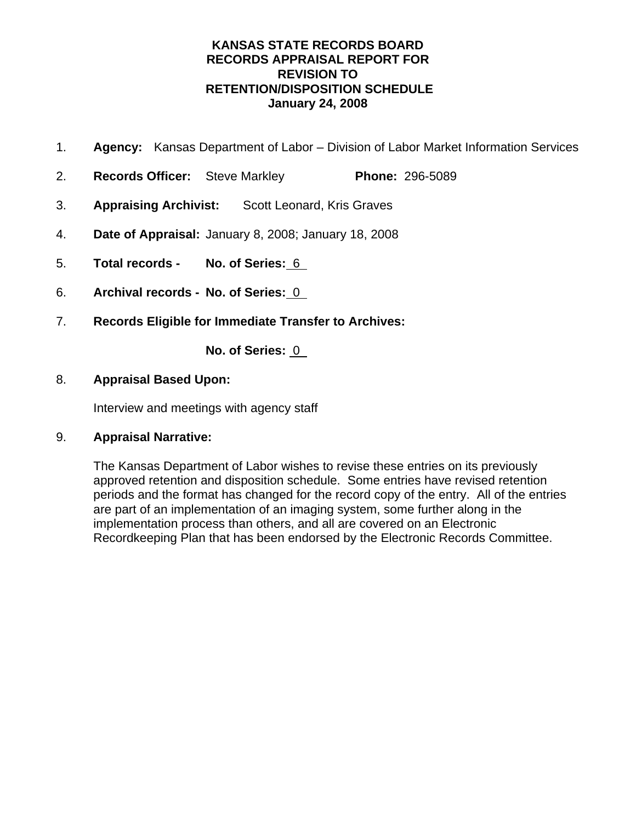# **KANSAS STATE RECORDS BOARD RECORDS APPRAISAL REPORT FOR REVISION TO RETENTION/DISPOSITION SCHEDULE January 24, 2008**

- 1. **Agency:** Kansas Department of Labor Division of Labor Market Information Services
- 2. **Records Officer:** Steve Markley **Phone:** 296-5089
- 3. **Appraising Archivist:** Scott Leonard, Kris Graves
- 4. **Date of Appraisal:** January 8, 2008; January 18, 2008
- 5. **Total records No. of Series:** 6
- 6. **Archival records No. of Series:** 0
- 7. **Records Eligible for Immediate Transfer to Archives:**

**No. of Series:** 0

### 8. **Appraisal Based Upon:**

Interview and meetings with agency staff

### 9. **Appraisal Narrative:**

The Kansas Department of Labor wishes to revise these entries on its previously approved retention and disposition schedule. Some entries have revised retention periods and the format has changed for the record copy of the entry. All of the entries are part of an implementation of an imaging system, some further along in the implementation process than others, and all are covered on an Electronic Recordkeeping Plan that has been endorsed by the Electronic Records Committee.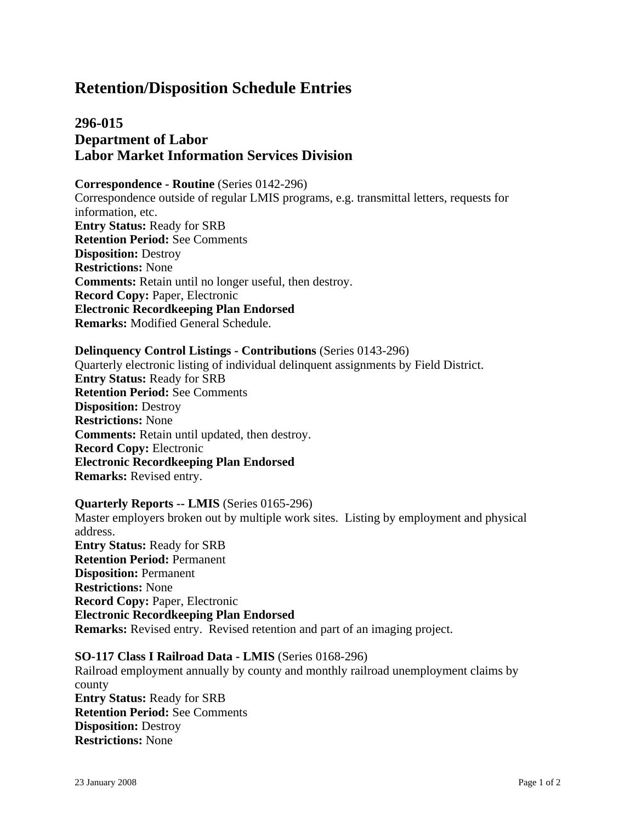# **296-015 Department of Labor Labor Market Information Services Division**

**Correspondence - Routine** (Series 0142-296) Correspondence outside of regular LMIS programs, e.g. transmittal letters, requests for information, etc. **Entry Status:** Ready for SRB **Retention Period:** See Comments **Disposition:** Destroy **Restrictions:** None **Comments:** Retain until no longer useful, then destroy. **Record Copy:** Paper, Electronic **Electronic Recordkeeping Plan Endorsed Remarks:** Modified General Schedule.

### **Delinquency Control Listings - Contributions** (Series 0143-296) Quarterly electronic listing of individual delinquent assignments by Field District. **Entry Status:** Ready for SRB **Retention Period:** See Comments **Disposition:** Destroy **Restrictions:** None **Comments:** Retain until updated, then destroy. **Record Copy:** Electronic **Electronic Recordkeeping Plan Endorsed**

**Remarks:** Revised entry.

#### **Quarterly Reports -- LMIS** (Series 0165-296)

Master employers broken out by multiple work sites. Listing by employment and physical address. **Entry Status:** Ready for SRB **Retention Period:** Permanent **Disposition:** Permanent **Restrictions:** None **Record Copy:** Paper, Electronic **Electronic Recordkeeping Plan Endorsed Remarks:** Revised entry. Revised retention and part of an imaging project.

### **SO-117 Class I Railroad Data - LMIS** (Series 0168-296) Railroad employment annually by county and monthly railroad unemployment claims by county **Entry Status:** Ready for SRB **Retention Period:** See Comments **Disposition:** Destroy

**Restrictions:** None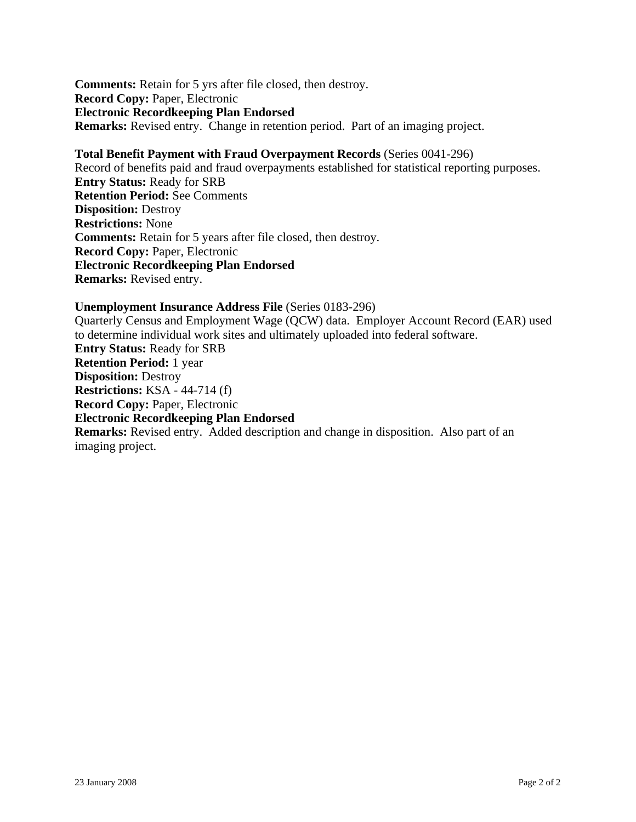**Comments:** Retain for 5 yrs after file closed, then destroy. **Record Copy:** Paper, Electronic **Electronic Recordkeeping Plan Endorsed Remarks:** Revised entry. Change in retention period. Part of an imaging project.

**Total Benefit Payment with Fraud Overpayment Records** (Series 0041-296) Record of benefits paid and fraud overpayments established for statistical reporting purposes. **Entry Status:** Ready for SRB **Retention Period:** See Comments **Disposition:** Destroy **Restrictions:** None **Comments:** Retain for 5 years after file closed, then destroy. **Record Copy:** Paper, Electronic **Electronic Recordkeeping Plan Endorsed Remarks:** Revised entry.

#### **Unemployment Insurance Address File** (Series 0183-296)

Quarterly Census and Employment Wage (QCW) data. Employer Account Record (EAR) used to determine individual work sites and ultimately uploaded into federal software. **Entry Status:** Ready for SRB **Retention Period:** 1 year **Disposition:** Destroy **Restrictions:** KSA - 44-714 (f) **Record Copy:** Paper, Electronic **Electronic Recordkeeping Plan Endorsed Remarks:** Revised entry. Added description and change in disposition. Also part of an imaging project.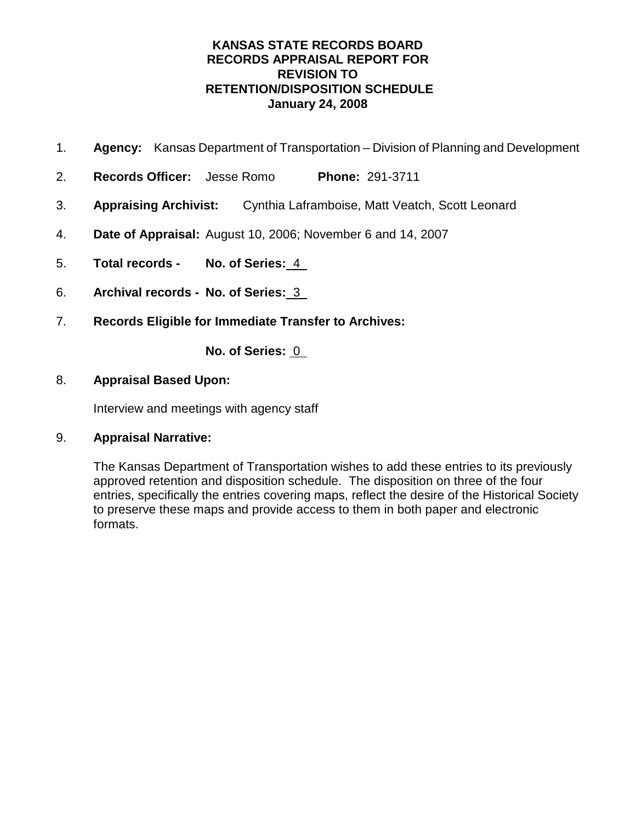# **KANSAS STATE RECORDS BOARD RECORDS APPRAISAL REPORT FOR REVISION TO RETENTION/DISPOSITION SCHEDULE January 24, 2008**

- 1. **Agency:** Kansas Department of Transportation Division of Planning and Development
- 2. **Records Officer:** Jesse Romo **Phone:** 291-3711
- 3. **Appraising Archivist:** Cynthia Laframboise, Matt Veatch, Scott Leonard
- 4. **Date of Appraisal:** August 10, 2006; November 6 and 14, 2007
- 5. **Total records No. of Series:** 4
- 6. **Archival records No. of Series:** 3
- 7. **Records Eligible for Immediate Transfer to Archives:**

**No. of Series:** 0

### 8. **Appraisal Based Upon:**

Interview and meetings with agency staff

### 9. **Appraisal Narrative:**

The Kansas Department of Transportation wishes to add these entries to its previously approved retention and disposition schedule. The disposition on three of the four entries, specifically the entries covering maps, reflect the desire of the Historical Society to preserve these maps and provide access to them in both paper and electronic formats.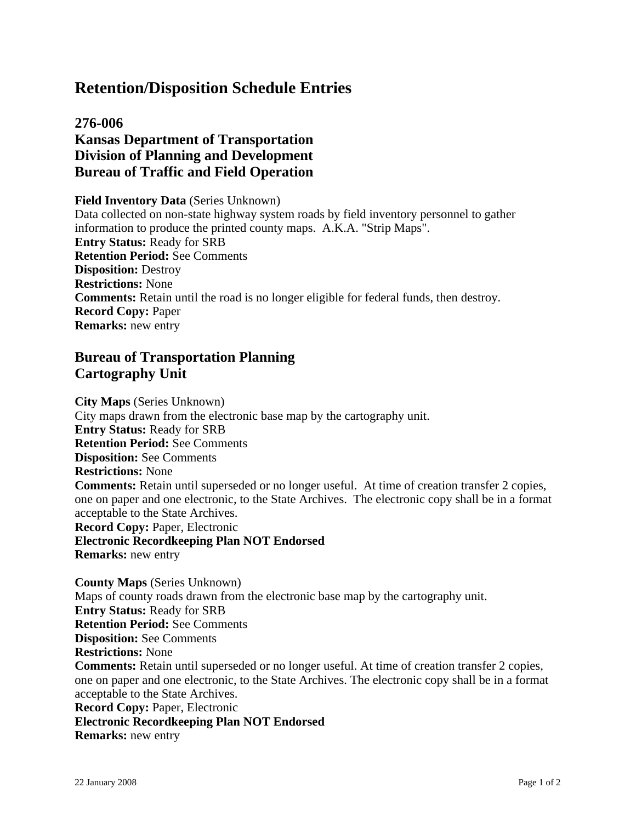# **276-006 Kansas Department of Transportation Division of Planning and Development Bureau of Traffic and Field Operation**

### **Field Inventory Data** (Series Unknown)

Data collected on non-state highway system roads by field inventory personnel to gather information to produce the printed county maps. A.K.A. "Strip Maps". **Entry Status:** Ready for SRB **Retention Period:** See Comments **Disposition:** Destroy **Restrictions:** None **Comments:** Retain until the road is no longer eligible for federal funds, then destroy. **Record Copy:** Paper **Remarks:** new entry

# **Bureau of Transportation Planning Cartography Unit**

**City Maps** (Series Unknown) City maps drawn from the electronic base map by the cartography unit. **Entry Status:** Ready for SRB **Retention Period:** See Comments **Disposition:** See Comments **Restrictions:** None **Comments:** Retain until superseded or no longer useful. At time of creation transfer 2 copies, one on paper and one electronic, to the State Archives. The electronic copy shall be in a format acceptable to the State Archives. **Record Copy:** Paper, Electronic **Electronic Recordkeeping Plan NOT Endorsed Remarks:** new entry **County Maps** (Series Unknown) Maps of county roads drawn from the electronic base map by the cartography unit. **Entry Status:** Ready for SRB **Retention Period:** See Comments **Disposition:** See Comments **Restrictions:** None **Comments:** Retain until superseded or no longer useful. At time of creation transfer 2 copies, one on paper and one electronic, to the State Archives. The electronic copy shall be in a format acceptable to the State Archives.

**Record Copy:** Paper, Electronic

### **Electronic Recordkeeping Plan NOT Endorsed**

**Remarks:** new entry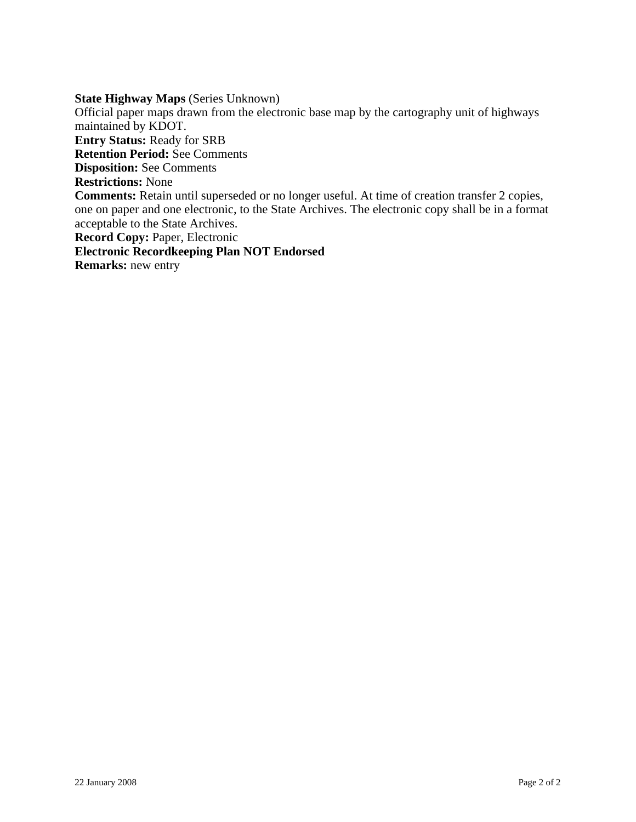### **State Highway Maps** (Series Unknown)

Official paper maps drawn from the electronic base map by the cartography unit of highways maintained by KDOT. **Entry Status:** Ready for SRB **Retention Period:** See Comments **Disposition:** See Comments **Restrictions:** None **Comments:** Retain until superseded or no longer useful. At time of creation transfer 2 copies, one on paper and one electronic, to the State Archives. The electronic copy shall be in a format acceptable to the State Archives. **Record Copy:** Paper, Electronic **Electronic Recordkeeping Plan NOT Endorsed Remarks:** new entry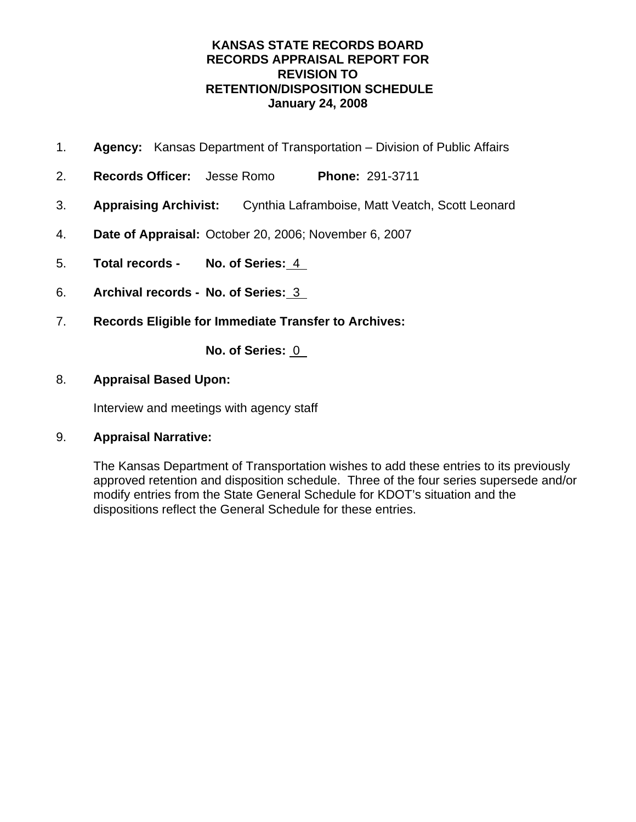# **KANSAS STATE RECORDS BOARD RECORDS APPRAISAL REPORT FOR REVISION TO RETENTION/DISPOSITION SCHEDULE January 24, 2008**

- 1. **Agency:** Kansas Department of Transportation Division of Public Affairs
- 2. **Records Officer:** Jesse Romo **Phone:** 291-3711
- 3. **Appraising Archivist:** Cynthia Laframboise, Matt Veatch, Scott Leonard
- 4. **Date of Appraisal:** October 20, 2006; November 6, 2007
- 5. **Total records No. of Series:** 4
- 6. **Archival records No. of Series:** 3
- 7. **Records Eligible for Immediate Transfer to Archives:**

**No. of Series:** 0

### 8. **Appraisal Based Upon:**

Interview and meetings with agency staff

### 9. **Appraisal Narrative:**

The Kansas Department of Transportation wishes to add these entries to its previously approved retention and disposition schedule. Three of the four series supersede and/or modify entries from the State General Schedule for KDOT's situation and the dispositions reflect the General Schedule for these entries.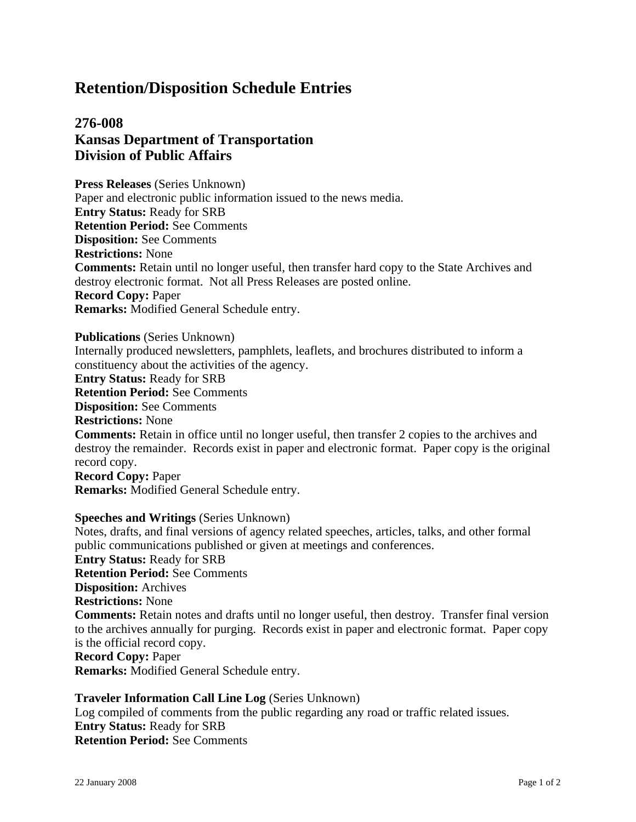# **276-008 Kansas Department of Transportation Division of Public Affairs**

**Press Releases** (Series Unknown) Paper and electronic public information issued to the news media. **Entry Status:** Ready for SRB **Retention Period:** See Comments **Disposition:** See Comments **Restrictions:** None **Comments:** Retain until no longer useful, then transfer hard copy to the State Archives and destroy electronic format. Not all Press Releases are posted online. **Record Copy:** Paper **Remarks:** Modified General Schedule entry.

**Publications** (Series Unknown)

Internally produced newsletters, pamphlets, leaflets, and brochures distributed to inform a constituency about the activities of the agency.

**Entry Status:** Ready for SRB

**Retention Period:** See Comments

**Disposition:** See Comments

**Restrictions:** None

**Comments:** Retain in office until no longer useful, then transfer 2 copies to the archives and destroy the remainder. Records exist in paper and electronic format. Paper copy is the original record copy.

**Record Copy:** Paper **Remarks:** Modified General Schedule entry.

### **Speeches and Writings** (Series Unknown)

Notes, drafts, and final versions of agency related speeches, articles, talks, and other formal public communications published or given at meetings and conferences. **Entry Status:** Ready for SRB **Retention Period:** See Comments **Disposition:** Archives **Restrictions:** None **Comments:** Retain notes and drafts until no longer useful, then destroy. Transfer final version to the archives annually for purging. Records exist in paper and electronic format. Paper copy is the official record copy. **Record Copy:** Paper **Remarks:** Modified General Schedule entry.

**Traveler Information Call Line Log** (Series Unknown) Log compiled of comments from the public regarding any road or traffic related issues. **Entry Status:** Ready for SRB **Retention Period:** See Comments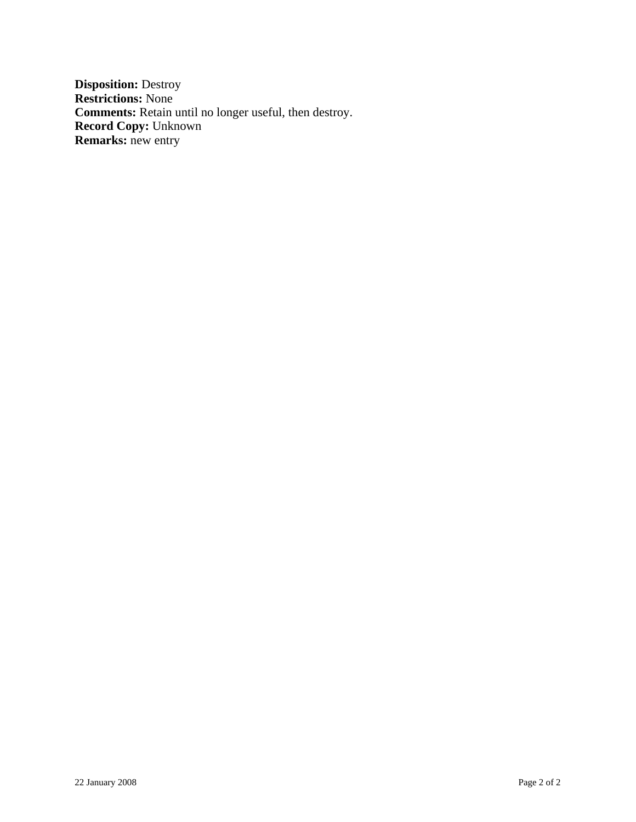**Disposition:** Destroy **Restrictions:** None **Comments:** Retain until no longer useful, then destroy. **Record Copy:** Unknown **Remarks:** new entry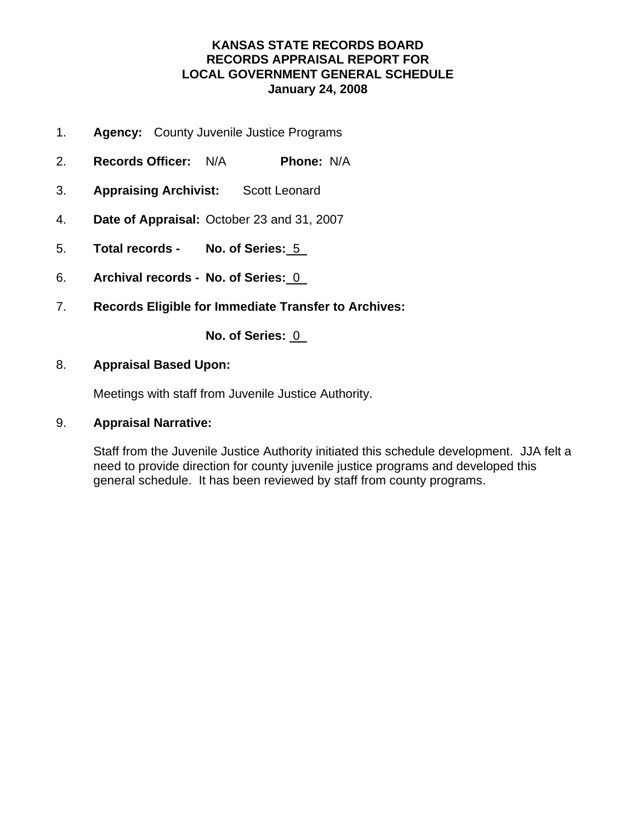# **KANSAS STATE RECORDS BOARD RECORDS APPRAISAL REPORT FOR LOCAL GOVERNMENT GENERAL SCHEDULE January 24, 2008**

- 1. **Agency:** County Juvenile Justice Programs
- 2. **Records Officer:** N/A **Phone:** N/A
- 3. **Appraising Archivist:** Scott Leonard
- 4. **Date of Appraisal:** October 23 and 31, 2007
- 5. **Total records No. of Series:** 5
- 6. **Archival records No. of Series:** 0
- 7. **Records Eligible for Immediate Transfer to Archives:**

### **No. of Series: 0**

### 8. **Appraisal Based Upon:**

Meetings with staff from Juvenile Justice Authority.

### 9. **Appraisal Narrative:**

Staff from the Juvenile Justice Authority initiated this schedule development. JJA felt a need to provide direction for county juvenile justice programs and developed this general schedule. It has been reviewed by staff from county programs.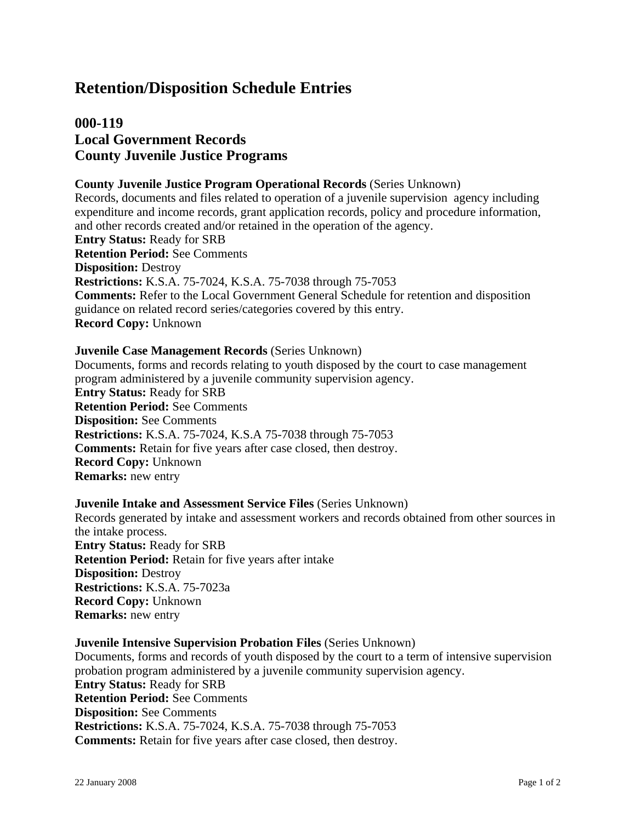# **000-119 Local Government Records County Juvenile Justice Programs**

### **County Juvenile Justice Program Operational Records** (Series Unknown)

Records, documents and files related to operation of a juvenile supervision agency including expenditure and income records, grant application records, policy and procedure information, and other records created and/or retained in the operation of the agency. **Entry Status:** Ready for SRB **Retention Period:** See Comments **Disposition:** Destroy **Restrictions:** K.S.A. 75-7024, K.S.A. 75-7038 through 75-7053 **Comments:** Refer to the Local Government General Schedule for retention and disposition guidance on related record series/categories covered by this entry. **Record Copy:** Unknown

#### **Juvenile Case Management Records** (Series Unknown)

Documents, forms and records relating to youth disposed by the court to case management program administered by a juvenile community supervision agency. **Entry Status:** Ready for SRB **Retention Period:** See Comments **Disposition:** See Comments **Restrictions:** K.S.A. 75-7024, K.S.A 75-7038 through 75-7053 **Comments:** Retain for five years after case closed, then destroy. **Record Copy:** Unknown **Remarks:** new entry

#### **Juvenile Intake and Assessment Service Files** (Series Unknown)

Records generated by intake and assessment workers and records obtained from other sources in the intake process. **Entry Status:** Ready for SRB **Retention Period:** Retain for five years after intake **Disposition:** Destroy **Restrictions:** K.S.A. 75-7023a **Record Copy:** Unknown **Remarks:** new entry

#### **Juvenile Intensive Supervision Probation Files** (Series Unknown)

Documents, forms and records of youth disposed by the court to a term of intensive supervision probation program administered by a juvenile community supervision agency. **Entry Status:** Ready for SRB **Retention Period:** See Comments **Disposition:** See Comments **Restrictions:** K.S.A. 75-7024, K.S.A. 75-7038 through 75-7053 **Comments:** Retain for five years after case closed, then destroy.